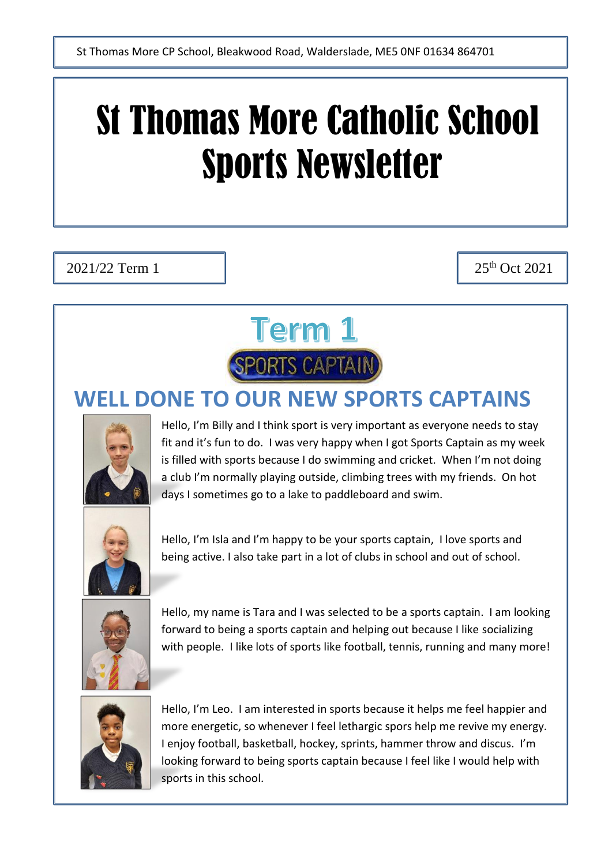# St Thomas More Catholic School Sports Newsletter

 $2021/22$  Term 1  $\qquad$   $\qquad$  25<sup>th</sup> Oct 2021



#### **WELL DONE T[O OUR NEW SPO](https://www.google.co.uk/imgres?imgurl=https%3A%2F%2Fwww.badgesplus.co.uk%2Fuploads%2Fimages%2Fproducts%2FD27_Sports_Captain_Blue.png&imgrefurl=https%3A%2F%2Fwww.badgesplus.co.uk%2Fblue_sports-captain-rounded-edge-bar-badge_102.htm&docid=GgUbMk1fBqpLwM&tbnid=6XivtYWsK2_pDM%3A&vet=10ahUKEwil0JmOvrLkAhVpQUEAHXlbBZYQMwjDAShMMEw..i&w=572&h=541&safe=strict&bih=868&biw=1821&q=sports%20captain&ved=0ahUKEwil0JmOvrLkAhVpQUEAHXlbBZYQMwjDAShMMEw&iact=mrc&uact=8)RTS CAPTAINS**



Hello, I'm Billy and I think sport is very important as everyone needs to stay fit and it's fun to do. I was very happy when I got Sports Captain as my week is filled with sports because I do swimming and cricket. When I'm not doing a club I'm normally playing outside, climbing trees with my friends. On hot days I sometimes go to a lake to paddleboard and swim.



Hello, I'm Isla and I'm happy to be your sports captain, I love sports and being active. I also take part in a lot of clubs in school and out of school.



Hello, my name is Tara and I was selected to be a sports captain. I am looking forward to being a sports captain and helping out because I like socializing with people. I like lots of sports like football, tennis, running and many more!



Hello, I'm Leo. I am interested in sports because it helps me feel happier and more energetic, so whenever I feel lethargic spors help me revive my energy. I enjoy football, basketball, hockey, sprints, hammer throw and discus. I'm looking forward to being sports captain because I feel like I would help with sports in this school.